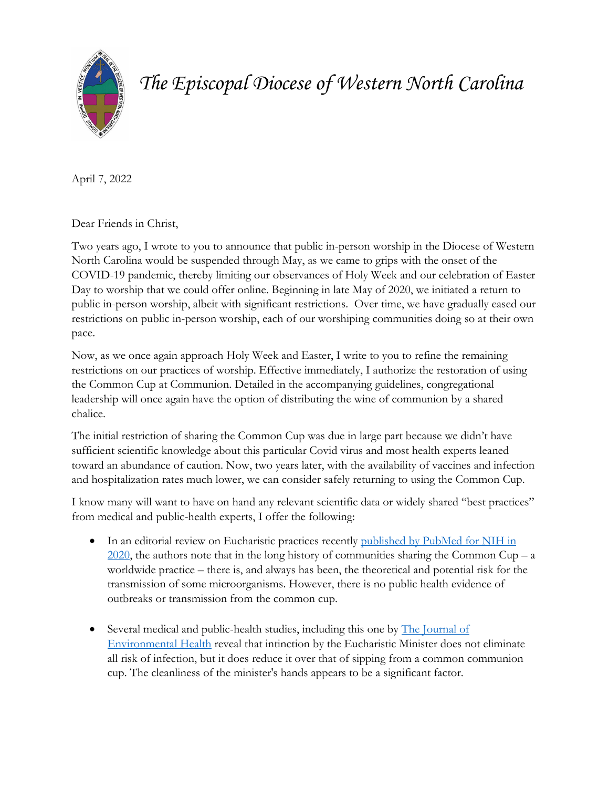

*The Episcopal Diocese of Western North Carolina*

April 7, 2022

Dear Friends in Christ,

Two years ago, I wrote to you to announce that public in-person worship in the Diocese of Western North Carolina would be suspended through May, as we came to grips with the onset of the COVID-19 pandemic, thereby limiting our observances of Holy Week and our celebration of Easter Day to worship that we could offer online. Beginning in late May of 2020, we initiated a return to public in-person worship, albeit with significant restrictions. Over time, we have gradually eased our restrictions on public in-person worship, each of our worshiping communities doing so at their own pace.

Now, as we once again approach Holy Week and Easter, I write to you to refine the remaining restrictions on our practices of worship. Effective immediately, I authorize the restoration of using the Common Cup at Communion. Detailed in the accompanying guidelines, congregational leadership will once again have the option of distributing the wine of communion by a shared chalice.

The initial restriction of sharing the Common Cup was due in large part because we didn't have sufficient scientific knowledge about this particular Covid virus and most health experts leaned toward an abundance of caution. Now, two years later, with the availability of vaccines and infection and hospitalization rates much lower, we can consider safely returning to using the Common Cup.

I know many will want to have on hand any relevant scientific data or widely shared "best practices" from medical and public-health experts, I offer the following:

- In an editorial review on Eucharistic practices recently published by PubMed for NIH in  $2020$ , the authors note that in the long history of communities sharing the Common Cup – a worldwide practice – there is, and always has been, the theoretical and potential risk for the transmission of some microorganisms. However, there is no public health evidence of outbreaks or transmission from the common cup.
- Several medical and public-health studies, including this one by The Journal of [Environmental Health](https://go.gale.com/ps/i.do?id=GALE%7CA17268461&sid=googleScholar&v=2.1&it=r&linkaccess=abs&issn=00220892&p=AONE&sw=w&userGroupName=anon%7E8cad05bd) reveal that intinction by the Eucharistic Minister does not eliminate all risk of infection, but it does reduce it over that of sipping from a common communion cup. The cleanliness of the minister's hands appears to be a significant factor.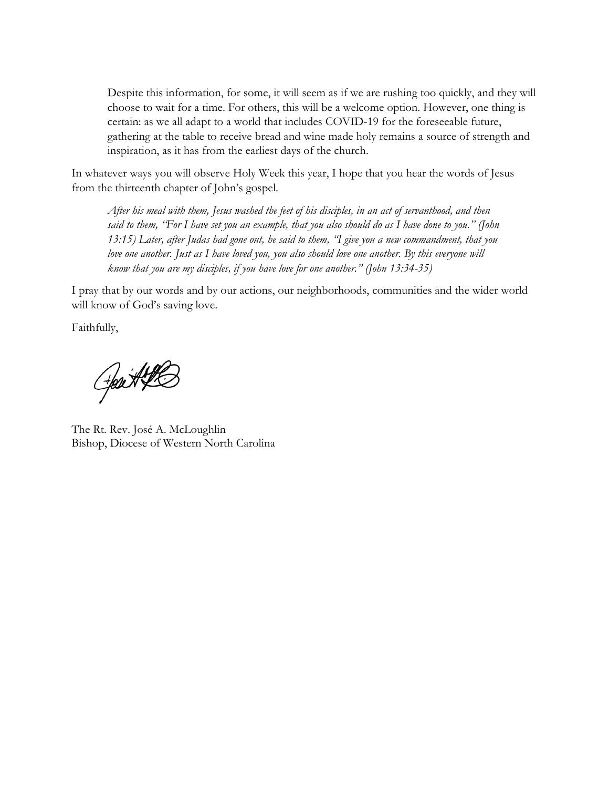Despite this information, for some, it will seem as if we are rushing too quickly, and they will choose to wait for a time. For others, this will be a welcome option. However, one thing is certain: as we all adapt to a world that includes COVID-19 for the foreseeable future, gathering at the table to receive bread and wine made holy remains a source of strength and inspiration, as it has from the earliest days of the church.

In whatever ways you will observe Holy Week this year, I hope that you hear the words of Jesus from the thirteenth chapter of John's gospel.

*After his meal with them, Jesus washed the feet of his disciples, in an act of servanthood, and then said to them, "For I have set you an example, that you also should do as I have done to you." (John 13:15) Later, after Judas had gone out, he said to them, "I give you a new commandment, that you love one another. Just as I have loved you, you also should love one another. By this everyone will know that you are my disciples, if you have love for one another." (John 13:34-35)*

I pray that by our words and by our actions, our neighborhoods, communities and the wider world will know of God's saving love.

Faithfully,

Gest #2

The Rt. Rev. José A. McLoughlin Bishop, Diocese of Western North Carolina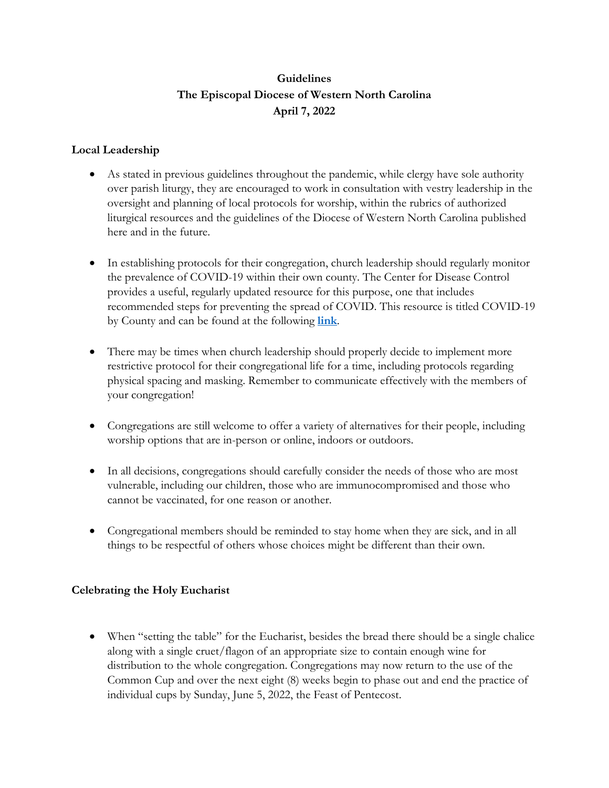## **Guidelines The Episcopal Diocese of Western North Carolina April 7, 2022**

## **Local Leadership**

- As stated in previous guidelines throughout the pandemic, while clergy have sole authority over parish liturgy, they are encouraged to work in consultation with vestry leadership in the oversight and planning of local protocols for worship, within the rubrics of authorized liturgical resources and the guidelines of the Diocese of Western North Carolina published here and in the future.
- In establishing protocols for their congregation, church leadership should regularly monitor the prevalence of COVID-19 within their own county. The Center for Disease Control provides a useful, regularly updated resource for this purpose, one that includes recommended steps for preventing the spread of COVID. This resource is titled COVID-19 by County and can be found at the following **[link](https://www.cdc.gov/coronavirus/2019-ncov/your-health/covid-by-county.html)**.
- There may be times when church leadership should properly decide to implement more restrictive protocol for their congregational life for a time, including protocols regarding physical spacing and masking. Remember to communicate effectively with the members of your congregation!
- Congregations are still welcome to offer a variety of alternatives for their people, including worship options that are in-person or online, indoors or outdoors.
- In all decisions, congregations should carefully consider the needs of those who are most vulnerable, including our children, those who are immunocompromised and those who cannot be vaccinated, for one reason or another.
- Congregational members should be reminded to stay home when they are sick, and in all things to be respectful of others whose choices might be different than their own.

## **Celebrating the Holy Eucharist**

• When "setting the table" for the Eucharist, besides the bread there should be a single chalice along with a single cruet/flagon of an appropriate size to contain enough wine for distribution to the whole congregation. Congregations may now return to the use of the Common Cup and over the next eight (8) weeks begin to phase out and end the practice of individual cups by Sunday, June 5, 2022, the Feast of Pentecost.